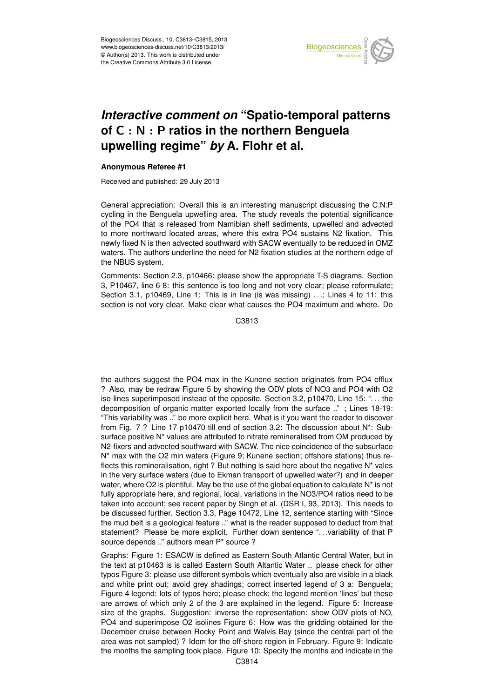

## Earth System of C  $:$  N  $:$  P ratios in the northern Benguela  $\vdots$  $\overline{\phantom{a}}$ *Interactive comment on* "Spatio-temporal patterns **upwelling regime"** *by* **A. Flohr et al.**

## **Anonymous Referee #1**

Received and published: 29 July 2013

General appreciation: Overall this is an interesting manuscript discussing the C:N:P cycling in the Benguela upwelling area. The study reveals the potential significance  $\frac{1}{2}$ า<br>ท<br>ว of the PO4 that is released from Namibian shelf sediments, upwelled and advected newly fixed N is then advected southward with SACW eventually to be reduced in OMZ waters. The authors underline the need for N2 fixation studies at the northern edge of d<br>f י<br>ר to more northward located areas, where this extra PO4 sustains N2 fixation. This the NBUS system.

3, P10467, line 6-8: this sentence is too long and not very clear; please reformulate; o<br>D<br>I .<br>Or<br>. Section 3.1, p10469, Line 1: This is in line (is was missing) . . .; Lines 4 to 11: this Comments: Section 2.3, p10466: please show the appropriate T-S diagrams. Section section is not very clear. Make clear what causes the PO4 maximum and where. Do

> C<br>C C3813

e<br>De ์<br>ว the authors suggest the PO4 max in the Kunene section originates from PO4 efflux ? Also, may be redraw Figure 5 by showing the ODV plots of NO3 and PO4 with O2 iso-lines superimposed instead of the opposite. Section 3.2, p10470, Line 15: ". . . the decomposition of organic matter exported locally from the surface .." ; Lines 18-19: "This variability was .." be more explicit here. What is it you want the reader to discover from Fig. 7 ? Line 17 p10470 till end of section 3.2: The discussion about N\*: Subsurface positive N\* values are attributed to nitrate remineralised from OM produced by N2-fixers and advected southward with SACW. The nice coincidence of the subsurface N\* max with the O2 min waters (Figure 9; Kunene section; offshore stations) thus reflects this remineralisation, right ? But nothing is said here about the negative N\* vales in the very surface waters (due to Ekman transport of upwelled water?) and in deeper water, where O2 is plentiful. May be the use of the global equation to calculate N\* is not fully appropriate here, and regional, local, variations in the NO3/PO4 ratios need to be taken into account; see recent paper by Singh et al. (DSR I, 93, 2013). This needs to be discussed further. Section 3.3, Page 10472, Line 12, sentence starting with "Since the mud belt is a geological feature .." what is the reader supposed to deduct from that statement? Please be more explicit. Further down sentence ". . .variability of that P source depends .." authors mean P\* source ?

Graphs: Figure 1: ESACW is defined as Eastern South Atlantic Central Water, but in the text at p10463 is is called Eastern South Altantic Water .. please check for other typos Figure 3: please use different symbols which eventually also are visible in a black and white print out; avoid grey shadings; correct inserted legend of 3 a: Benguela; Figure 4 legend: lots of typos here; please check; the legend mention 'lines' but these are arrows of which only 2 of the 3 are explained in the legend. Figure 5: Increase size of the graphs. Suggestion: inverse the representation: show ODV plots of NO, PO4 and superimpose O2 isolines Figure 6: How was the gridding obtained for the December cruise between Rocky Point and Walvis Bay (since the central part of the area was not sampled) ? Idem for the off-shore region in February. Figure 9: Indicate the months the sampling took place. Figure 10: Specify the months and indicate in the